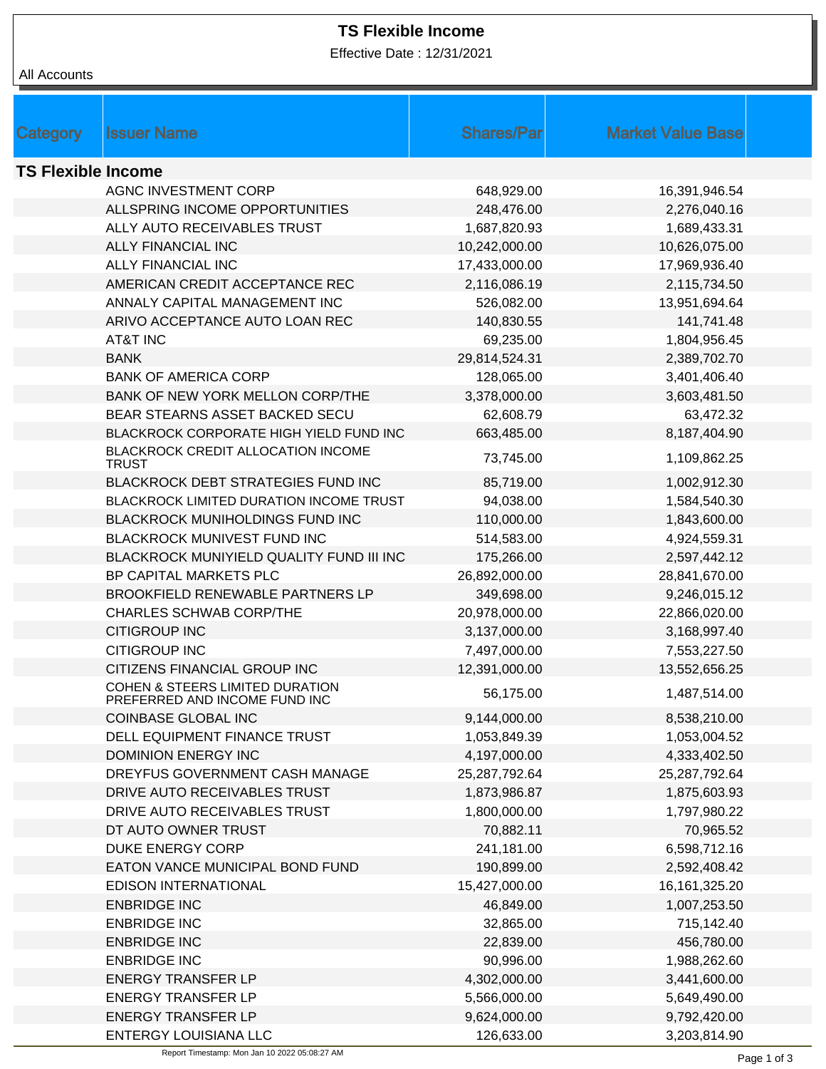Effective Date : 12/31/2021

| All Accounts              |                                                                  |                   |                          |
|---------------------------|------------------------------------------------------------------|-------------------|--------------------------|
|                           |                                                                  |                   |                          |
|                           |                                                                  |                   |                          |
| Category                  | <b>Issuer Name</b>                                               | <b>Shares/Par</b> | <b>Market Value Base</b> |
| <b>TS Flexible Income</b> |                                                                  |                   |                          |
|                           | <b>AGNC INVESTMENT CORP</b>                                      | 648,929.00        | 16,391,946.54            |
|                           | ALLSPRING INCOME OPPORTUNITIES                                   | 248,476.00        | 2,276,040.16             |
|                           | ALLY AUTO RECEIVABLES TRUST                                      | 1,687,820.93      | 1,689,433.31             |
|                           | <b>ALLY FINANCIAL INC</b>                                        | 10,242,000.00     | 10,626,075.00            |
|                           | <b>ALLY FINANCIAL INC</b>                                        | 17,433,000.00     | 17,969,936.40            |
|                           | AMERICAN CREDIT ACCEPTANCE REC                                   | 2,116,086.19      | 2,115,734.50             |
|                           | ANNALY CAPITAL MANAGEMENT INC                                    | 526,082.00        | 13,951,694.64            |
|                           | ARIVO ACCEPTANCE AUTO LOAN REC                                   | 140,830.55        | 141,741.48               |
|                           | AT&T INC                                                         | 69,235.00         | 1,804,956.45             |
|                           | <b>BANK</b>                                                      | 29,814,524.31     | 2,389,702.70             |
|                           | <b>BANK OF AMERICA CORP</b>                                      | 128,065.00        | 3,401,406.40             |
|                           | <b>BANK OF NEW YORK MELLON CORP/THE</b>                          | 3,378,000.00      | 3,603,481.50             |
|                           | BEAR STEARNS ASSET BACKED SECU                                   | 62,608.79         | 63,472.32                |
|                           | BLACKROCK CORPORATE HIGH YIELD FUND INC                          | 663,485.00        | 8,187,404.90             |
|                           | BLACKROCK CREDIT ALLOCATION INCOME                               |                   |                          |
|                           | <b>TRUST</b>                                                     | 73,745.00         | 1,109,862.25             |
|                           | BLACKROCK DEBT STRATEGIES FUND INC                               | 85,719.00         | 1,002,912.30             |
|                           | BLACKROCK LIMITED DURATION INCOME TRUST                          | 94,038.00         | 1,584,540.30             |
|                           | <b>BLACKROCK MUNIHOLDINGS FUND INC</b>                           | 110,000.00        | 1,843,600.00             |
|                           | BLACKROCK MUNIVEST FUND INC                                      | 514,583.00        | 4,924,559.31             |
|                           | BLACKROCK MUNIYIELD QUALITY FUND III INC                         | 175,266.00        | 2,597,442.12             |
|                           | BP CAPITAL MARKETS PLC                                           | 26,892,000.00     | 28,841,670.00            |
|                           | <b>BROOKFIELD RENEWABLE PARTNERS LP</b>                          | 349,698.00        | 9,246,015.12             |
|                           | <b>CHARLES SCHWAB CORP/THE</b>                                   | 20,978,000.00     | 22,866,020.00            |
|                           | <b>CITIGROUP INC</b>                                             | 3,137,000.00      | 3,168,997.40             |
|                           | <b>CITIGROUP INC</b>                                             | 7,497,000.00      | 7,553,227.50             |
|                           | CITIZENS FINANCIAL GROUP INC                                     | 12,391,000.00     | 13,552,656.25            |
|                           | COHEN & STEERS LIMITED DURATION<br>PREFERRED AND INCOME FUND INC | 56,175.00         | 1,487,514.00             |
|                           | COINBASE GLOBAL INC                                              | 9,144,000.00      | 8,538,210.00             |
|                           | DELL EQUIPMENT FINANCE TRUST                                     | 1,053,849.39      | 1,053,004.52             |
|                           | <b>DOMINION ENERGY INC</b>                                       | 4,197,000.00      | 4,333,402.50             |
|                           | DREYFUS GOVERNMENT CASH MANAGE                                   | 25,287,792.64     | 25,287,792.64            |
|                           | DRIVE AUTO RECEIVABLES TRUST                                     | 1,873,986.87      | 1,875,603.93             |
|                           | DRIVE AUTO RECEIVABLES TRUST                                     | 1,800,000.00      | 1,797,980.22             |
|                           | DT AUTO OWNER TRUST                                              | 70,882.11         | 70,965.52                |
|                           | <b>DUKE ENERGY CORP</b>                                          | 241,181.00        | 6,598,712.16             |
|                           | EATON VANCE MUNICIPAL BOND FUND                                  | 190,899.00        | 2,592,408.42             |
|                           | <b>EDISON INTERNATIONAL</b>                                      | 15,427,000.00     | 16, 161, 325. 20         |
|                           | <b>ENBRIDGE INC</b>                                              | 46,849.00         | 1,007,253.50             |
|                           | <b>ENBRIDGE INC</b>                                              | 32,865.00         | 715,142.40               |
|                           | <b>ENBRIDGE INC</b>                                              | 22,839.00         | 456,780.00               |
|                           | <b>ENBRIDGE INC</b>                                              | 90,996.00         | 1,988,262.60             |
|                           | <b>ENERGY TRANSFER LP</b>                                        | 4,302,000.00      | 3,441,600.00             |
|                           | <b>ENERGY TRANSFER LP</b>                                        | 5,566,000.00      | 5,649,490.00             |
|                           | <b>ENERGY TRANSFER LP</b>                                        | 9,624,000.00      | 9,792,420.00             |
|                           | ENTERGY LOUISIANA LLC                                            | 126,633.00        | 3,203,814.90             |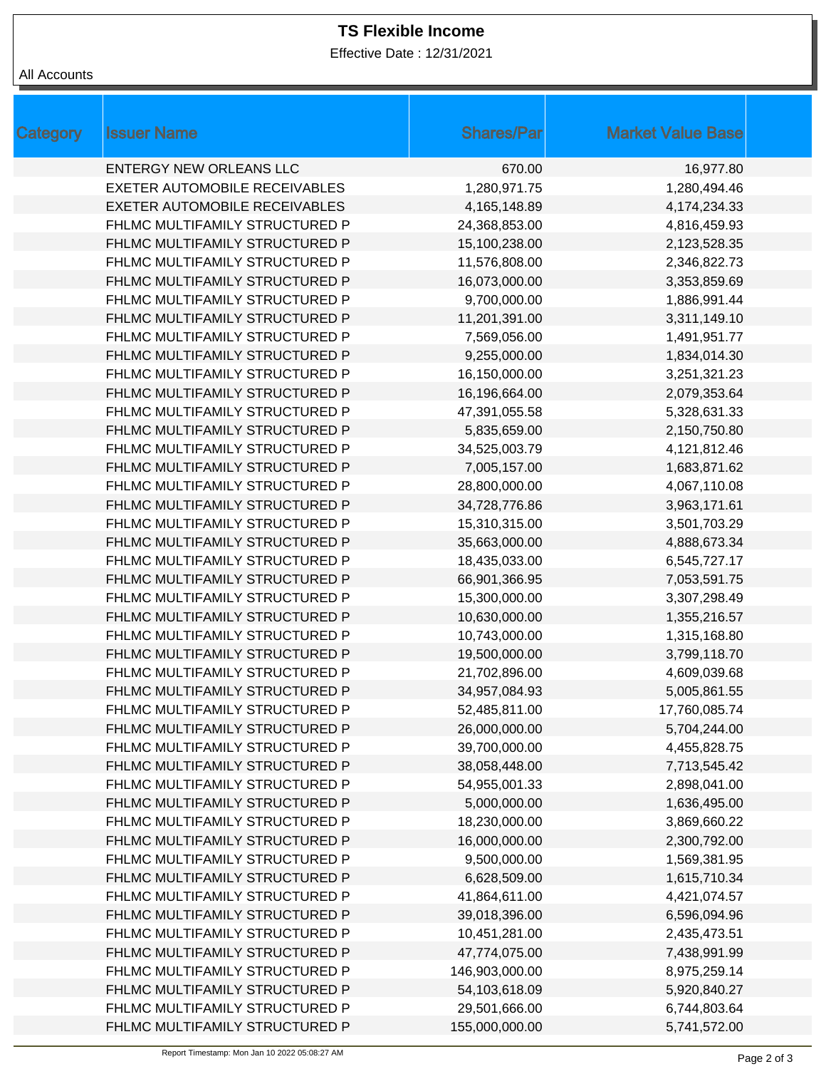Effective Date : 12/31/2021

| All Accounts |  |
|--------------|--|
|--------------|--|

| Category | <b>Issuer Name</b>             | <b>Shares/Par</b> | <b>Market Value Base</b> |
|----------|--------------------------------|-------------------|--------------------------|
|          | <b>ENTERGY NEW ORLEANS LLC</b> | 670.00            | 16,977.80                |
|          | EXETER AUTOMOBILE RECEIVABLES  | 1,280,971.75      | 1,280,494.46             |
|          | EXETER AUTOMOBILE RECEIVABLES  | 4,165,148.89      | 4,174,234.33             |
|          | FHLMC MULTIFAMILY STRUCTURED P | 24,368,853.00     | 4,816,459.93             |
|          | FHLMC MULTIFAMILY STRUCTURED P | 15,100,238.00     | 2,123,528.35             |
|          | FHLMC MULTIFAMILY STRUCTURED P | 11,576,808.00     | 2,346,822.73             |
|          | FHLMC MULTIFAMILY STRUCTURED P | 16,073,000.00     | 3,353,859.69             |
|          | FHLMC MULTIFAMILY STRUCTURED P | 9,700,000.00      | 1,886,991.44             |
|          | FHLMC MULTIFAMILY STRUCTURED P | 11,201,391.00     | 3,311,149.10             |
|          | FHLMC MULTIFAMILY STRUCTURED P | 7,569,056.00      | 1,491,951.77             |
|          | FHLMC MULTIFAMILY STRUCTURED P | 9,255,000.00      | 1,834,014.30             |
|          | FHLMC MULTIFAMILY STRUCTURED P | 16,150,000.00     | 3,251,321.23             |
|          | FHLMC MULTIFAMILY STRUCTURED P | 16,196,664.00     | 2,079,353.64             |
|          | FHLMC MULTIFAMILY STRUCTURED P | 47,391,055.58     | 5,328,631.33             |
|          | FHLMC MULTIFAMILY STRUCTURED P | 5,835,659.00      | 2,150,750.80             |
|          | FHLMC MULTIFAMILY STRUCTURED P | 34,525,003.79     | 4,121,812.46             |
|          | FHLMC MULTIFAMILY STRUCTURED P | 7,005,157.00      | 1,683,871.62             |
|          | FHLMC MULTIFAMILY STRUCTURED P | 28,800,000.00     | 4,067,110.08             |
|          | FHLMC MULTIFAMILY STRUCTURED P | 34,728,776.86     | 3,963,171.61             |
|          | FHLMC MULTIFAMILY STRUCTURED P | 15,310,315.00     | 3,501,703.29             |
|          | FHLMC MULTIFAMILY STRUCTURED P | 35,663,000.00     | 4,888,673.34             |
|          | FHLMC MULTIFAMILY STRUCTURED P | 18,435,033.00     | 6,545,727.17             |
|          | FHLMC MULTIFAMILY STRUCTURED P | 66,901,366.95     | 7,053,591.75             |
|          | FHLMC MULTIFAMILY STRUCTURED P | 15,300,000.00     | 3,307,298.49             |
|          | FHLMC MULTIFAMILY STRUCTURED P | 10,630,000.00     | 1,355,216.57             |
|          | FHLMC MULTIFAMILY STRUCTURED P | 10,743,000.00     | 1,315,168.80             |
|          | FHLMC MULTIFAMILY STRUCTURED P | 19,500,000.00     | 3,799,118.70             |
|          | FHLMC MULTIFAMILY STRUCTURED P | 21,702,896.00     | 4,609,039.68             |
|          | FHLMC MULTIFAMILY STRUCTURED P | 34,957,084.93     | 5,005,861.55             |
|          | FHLMC MULTIFAMILY STRUCTURED P | 52,485,811.00     | 17,760,085.74            |
|          | FHLMC MULTIFAMILY STRUCTURED P | 26,000,000.00     | 5,704,244.00             |
|          | FHLMC MULTIFAMILY STRUCTURED P | 39,700,000.00     | 4,455,828.75             |
|          | FHLMC MULTIFAMILY STRUCTURED P | 38,058,448.00     | 7,713,545.42             |
|          | FHLMC MULTIFAMILY STRUCTURED P | 54,955,001.33     | 2,898,041.00             |
|          | FHLMC MULTIFAMILY STRUCTURED P | 5,000,000.00      | 1,636,495.00             |
|          | FHLMC MULTIFAMILY STRUCTURED P | 18,230,000.00     | 3,869,660.22             |
|          | FHLMC MULTIFAMILY STRUCTURED P | 16,000,000.00     | 2,300,792.00             |
|          | FHLMC MULTIFAMILY STRUCTURED P | 9,500,000.00      | 1,569,381.95             |
|          | FHLMC MULTIFAMILY STRUCTURED P | 6,628,509.00      | 1,615,710.34             |
|          | FHLMC MULTIFAMILY STRUCTURED P | 41,864,611.00     | 4,421,074.57             |
|          | FHLMC MULTIFAMILY STRUCTURED P | 39,018,396.00     | 6,596,094.96             |
|          | FHLMC MULTIFAMILY STRUCTURED P | 10,451,281.00     | 2,435,473.51             |
|          | FHLMC MULTIFAMILY STRUCTURED P | 47,774,075.00     | 7,438,991.99             |
|          | FHLMC MULTIFAMILY STRUCTURED P | 146,903,000.00    | 8,975,259.14             |
|          | FHLMC MULTIFAMILY STRUCTURED P | 54,103,618.09     | 5,920,840.27             |
|          | FHLMC MULTIFAMILY STRUCTURED P | 29,501,666.00     | 6,744,803.64             |
|          | FHLMC MULTIFAMILY STRUCTURED P | 155,000,000.00    | 5,741,572.00             |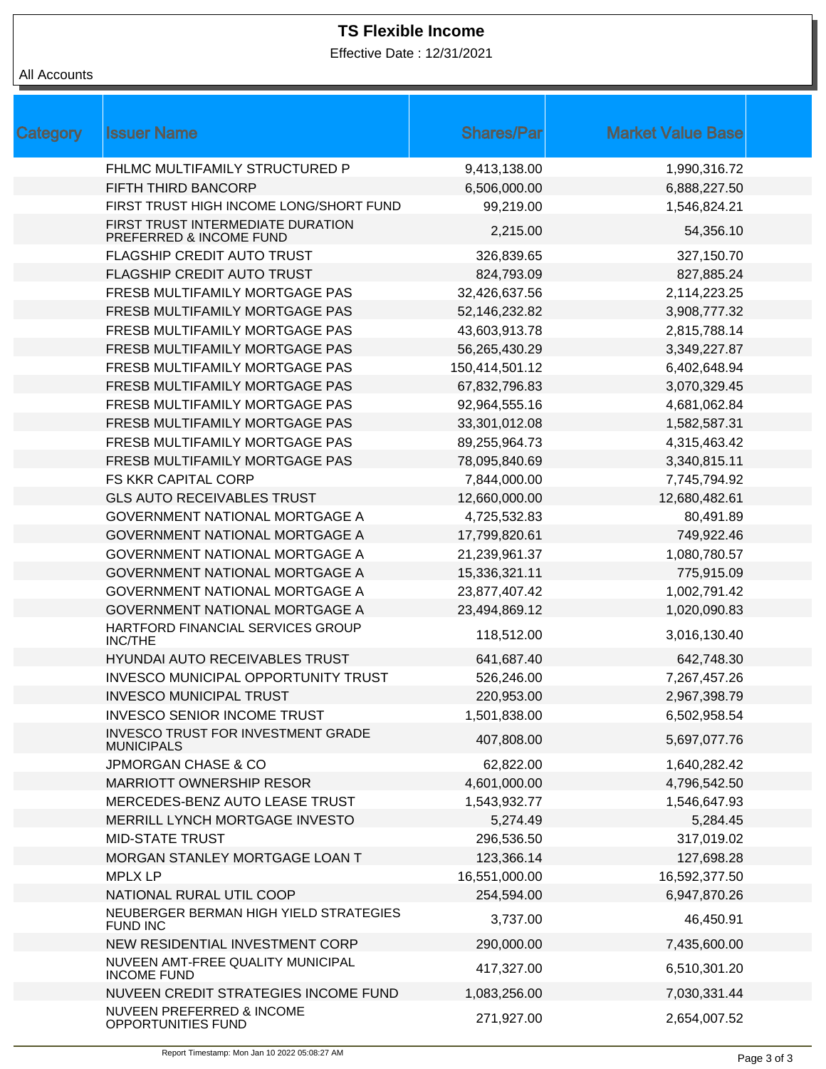Effective Date : 12/31/2021

# All Accounts

| Category | <b>Issuer Name</b>                                             | <b>Shares/Par</b> | <b>Market Value Base</b> |  |
|----------|----------------------------------------------------------------|-------------------|--------------------------|--|
|          | FHLMC MULTIFAMILY STRUCTURED P                                 | 9,413,138.00      | 1,990,316.72             |  |
|          | FIFTH THIRD BANCORP                                            | 6,506,000.00      | 6,888,227.50             |  |
|          | FIRST TRUST HIGH INCOME LONG/SHORT FUND                        | 99,219.00         | 1,546,824.21             |  |
|          | FIRST TRUST INTERMEDIATE DURATION<br>PREFERRED & INCOME FUND   | 2,215.00          | 54,356.10                |  |
|          | FLAGSHIP CREDIT AUTO TRUST                                     | 326,839.65        | 327,150.70               |  |
|          | FLAGSHIP CREDIT AUTO TRUST                                     | 824,793.09        | 827,885.24               |  |
|          | FRESB MULTIFAMILY MORTGAGE PAS                                 | 32,426,637.56     | 2,114,223.25             |  |
|          | FRESB MULTIFAMILY MORTGAGE PAS                                 | 52,146,232.82     | 3,908,777.32             |  |
|          | FRESB MULTIFAMILY MORTGAGE PAS                                 | 43,603,913.78     | 2,815,788.14             |  |
|          | FRESB MULTIFAMILY MORTGAGE PAS                                 | 56,265,430.29     | 3,349,227.87             |  |
|          | FRESB MULTIFAMILY MORTGAGE PAS                                 | 150,414,501.12    | 6,402,648.94             |  |
|          | FRESB MULTIFAMILY MORTGAGE PAS                                 | 67,832,796.83     | 3,070,329.45             |  |
|          | FRESB MULTIFAMILY MORTGAGE PAS                                 | 92,964,555.16     | 4,681,062.84             |  |
|          | FRESB MULTIFAMILY MORTGAGE PAS                                 | 33,301,012.08     | 1,582,587.31             |  |
|          | FRESB MULTIFAMILY MORTGAGE PAS                                 | 89,255,964.73     | 4,315,463.42             |  |
|          | FRESB MULTIFAMILY MORTGAGE PAS                                 | 78,095,840.69     | 3,340,815.11             |  |
|          | FS KKR CAPITAL CORP                                            | 7,844,000.00      | 7,745,794.92             |  |
|          | <b>GLS AUTO RECEIVABLES TRUST</b>                              | 12,660,000.00     | 12,680,482.61            |  |
|          | GOVERNMENT NATIONAL MORTGAGE A                                 | 4,725,532.83      | 80,491.89                |  |
|          | GOVERNMENT NATIONAL MORTGAGE A                                 | 17,799,820.61     | 749,922.46               |  |
|          | GOVERNMENT NATIONAL MORTGAGE A                                 | 21,239,961.37     | 1,080,780.57             |  |
|          | GOVERNMENT NATIONAL MORTGAGE A                                 | 15,336,321.11     | 775,915.09               |  |
|          | GOVERNMENT NATIONAL MORTGAGE A                                 | 23,877,407.42     | 1,002,791.42             |  |
|          | GOVERNMENT NATIONAL MORTGAGE A                                 | 23,494,869.12     | 1,020,090.83             |  |
|          | HARTFORD FINANCIAL SERVICES GROUP<br><b>INC/THE</b>            | 118,512.00        | 3,016,130.40             |  |
|          | HYUNDAI AUTO RECEIVABLES TRUST                                 | 641,687.40        | 642,748.30               |  |
|          | <b>INVESCO MUNICIPAL OPPORTUNITY TRUST</b>                     | 526,246.00        | 7,267,457.26             |  |
|          | <b>INVESCO MUNICIPAL TRUST</b>                                 | 220,953.00        | 2,967,398.79             |  |
|          | <b>INVESCO SENIOR INCOME TRUST</b>                             | 1,501,838.00      | 6,502,958.54             |  |
|          | <b>INVESCO TRUST FOR INVESTMENT GRADE</b><br><b>MUNICIPALS</b> | 407,808.00        | 5,697,077.76             |  |
|          | <b>JPMORGAN CHASE &amp; CO</b>                                 | 62,822.00         | 1,640,282.42             |  |
|          | <b>MARRIOTT OWNERSHIP RESOR</b>                                | 4,601,000.00      | 4,796,542.50             |  |
|          | MERCEDES-BENZ AUTO LEASE TRUST                                 | 1,543,932.77      | 1,546,647.93             |  |
|          | MERRILL LYNCH MORTGAGE INVESTO                                 | 5,274.49          | 5,284.45                 |  |
|          | <b>MID-STATE TRUST</b>                                         | 296,536.50        | 317,019.02               |  |
|          | MORGAN STANLEY MORTGAGE LOAN T                                 | 123,366.14        | 127,698.28               |  |
|          | <b>MPLX LP</b>                                                 | 16,551,000.00     | 16,592,377.50            |  |
|          | NATIONAL RURAL UTIL COOP                                       | 254,594.00        | 6,947,870.26             |  |
|          | NEUBERGER BERMAN HIGH YIELD STRATEGIES<br><b>FUND INC</b>      | 3,737.00          | 46,450.91                |  |
|          | NEW RESIDENTIAL INVESTMENT CORP                                | 290,000.00        | 7,435,600.00             |  |
|          | NUVEEN AMT-FREE QUALITY MUNICIPAL<br><b>INCOME FUND</b>        | 417,327.00        | 6,510,301.20             |  |
|          | NUVEEN CREDIT STRATEGIES INCOME FUND                           | 1,083,256.00      | 7,030,331.44             |  |
|          | NUVEEN PREFERRED & INCOME<br>OPPORTUNITIES FUND                | 271,927.00        | 2,654,007.52             |  |